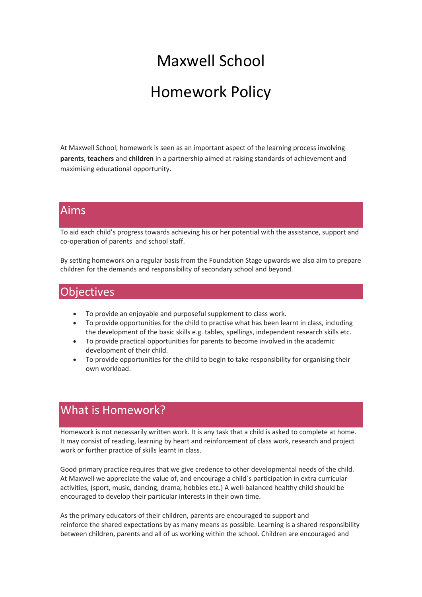# Maxwell School Homework Policy

At Maxwell School, homework is seen as an important aspect of the learning process involving **parents**, **teachers** and **children** in a partnership aimed at raising standards of achievement and maximising educational opportunity.

#### Aims

To aid each child's progress towards achieving his or her potential with the assistance, support and co-operation of parents and school staff.

By setting homework on a regular basis from the Foundation Stage upwards we also aim to prepare children for the demands and responsibility of secondary school and beyond.

#### **Objectives**

- To provide an enjoyable and purposeful supplement to class work.
- To provide opportunities for the child to practise what has been learnt in class, including the development of the basic skills e.g. tables, spellings, independent research skills etc.
- To provide practical opportunities for parents to become involved in the academic development of their child.
- To provide opportunities for the child to begin to take responsibility for organising their own workload.

## What is Homework?

Homework is not necessarily written work. It is any task that a child is asked to complete at home. It may consist of reading, learning by heart and reinforcement of class work, research and project work or further practice of skills learnt in class.

Good primary practice requires that we give credence to other developmental needs of the child. At Maxwell we appreciate the value of, and encourage a child´s participation in extra curricular activities, (sport, music, dancing, drama, hobbies etc.) A well-balanced healthy child should be encouraged to develop their particular interests in their own time.

As the primary educators of their children, parents are encouraged to support and reinforce the shared expectations by as many means as possible. Learning is a shared responsibility between children, parents and all of us working within the school. Children are encouraged and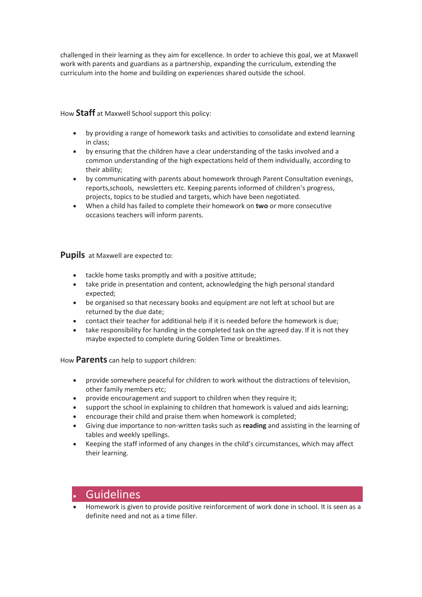challenged in their learning as they aim for excellence. In order to achieve this goal, we at Maxwell work with parents and guardians as a partnership, expanding the curriculum, extending the curriculum into the home and building on experiences shared outside the school.

How **Staff** at Maxwell School support this policy:

- by providing a range of homework tasks and activities to consolidate and extend learning in class;
- by ensuring that the children have a clear understanding of the tasks involved and a common understanding of the high expectations held of them individually, according to their ability;
- by communicating with parents about homework through Parent Consultation evenings, reports,schools, newsletters etc. Keeping parents informed of children's progress, projects, topics to be studied and targets, which have been negotiated.
- When a child has failed to complete their homework on **two** or more consecutive occasions teachers will inform parents.

**Pupils** at Maxwell are expected to:

- tackle home tasks promptly and with a positive attitude;
- take pride in presentation and content, acknowledging the high personal standard expected;
- be organised so that necessary books and equipment are not left at school but are returned by the due date;
- contact their teacher for additional help if it is needed before the homework is due;
- take responsibility for handing in the completed task on the agreed day. If it is not they maybe expected to complete during Golden Time or breaktimes.

How **Parents** can help to support children:

- provide somewhere peaceful for children to work without the distractions of television, other family members etc;
- provide encouragement and support to children when they require it;
- support the school in explaining to children that homework is valued and aids learning;
- encourage their child and praise them when homework is completed;
- Giving due importance to non-written tasks such as **reading** and assisting in the learning of tables and weekly spellings.
- Keeping the staff informed of any changes in the child's circumstances, which may affect their learning.

#### **Guidelines**

• Homework is given to provide positive reinforcement of work done in school. It is seen as a definite need and not as a time filler.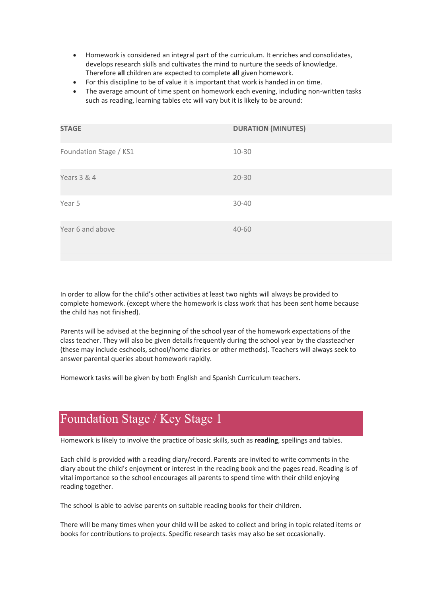- Homework is considered an integral part of the curriculum. It enriches and consolidates, develops research skills and cultivates the mind to nurture the seeds of knowledge. Therefore **all** children are expected to complete **all** given homework.
- For this discipline to be of value it is important that work is handed in on time.
- The average amount of time spent on homework each evening, including non-written tasks such as reading, learning tables etc will vary but it is likely to be around:

| <b>STAGE</b>           | <b>DURATION (MINUTES)</b> |
|------------------------|---------------------------|
| Foundation Stage / KS1 | 10-30                     |
| Years 3 & 4            | $20 - 30$                 |
| Year 5                 | 30-40                     |
| Year 6 and above       | 40-60                     |

In order to allow for the child's other activities at least two nights will always be provided to complete homework. (except where the homework is class work that has been sent home because the child has not finished).

Parents will be advised at the beginning of the school year of the homework expectations of the class teacher. They will also be given details frequently during the school year by the classteacher (these may include eschools, school/home diaries or other methods). Teachers will always seek to answer parental queries about homework rapidly.

Homework tasks will be given by both English and Spanish Curriculum teachers.

## Foundation Stage / Key Stage 1

Homework is likely to involve the practice of basic skills, such as **reading**, spellings and tables.

Each child is provided with a reading diary/record. Parents are invited to write comments in the diary about the child's enjoyment or interest in the reading book and the pages read. Reading is of vital importance so the school encourages all parents to spend time with their child enjoying reading together.

The school is able to advise parents on suitable reading books for their children.

There will be many times when your child will be asked to collect and bring in topic related items or books for contributions to projects. Specific research tasks may also be set occasionally.